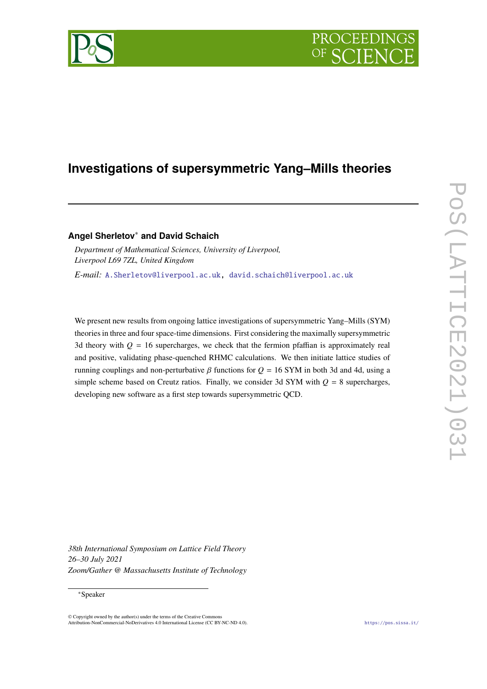# PROCEEDIN



## **Investigations of supersymmetric Yang–Mills theories**

**Angel Sherletov**<sup>∗</sup> **and David Schaich**

*Department of Mathematical Sciences, University of Liverpool, Liverpool L69 7ZL, United Kingdom E-mail:* [A.Sherletov@liverpool.ac.uk,](mailto:A.Sherletov@liverpool.ac.uk) [david.schaich@liverpool.ac.uk](mailto:david.schaich@liverpool.ac.uk)

We present new results from ongoing lattice investigations of supersymmetric Yang–Mills (SYM) theories in three and four space-time dimensions. First considering the maximally supersymmetric 3d theory with  $Q = 16$  supercharges, we check that the fermion pfaffian is approximately real and positive, validating phase-quenched RHMC calculations. We then initiate lattice studies of running couplings and non-perturbative  $\beta$  functions for  $Q = 16$  SYM in both 3d and 4d, using a simple scheme based on Creutz ratios. Finally, we consider 3d SYM with  $Q = 8$  supercharges, developing new software as a first step towards supersymmetric QCD.

*38th International Symposium on Lattice Field Theory 26–30 July 2021 Zoom/Gather @ Massachusetts Institute of Technology*

#### ∗Speaker

<sup>©</sup> Copyright owned by the author(s) under the terms of the Creative Commons Attribution-NonCommercial-NoDerivatives 4.0 International License (CC BY-NC-ND 4.0). <https://pos.sissa.it/>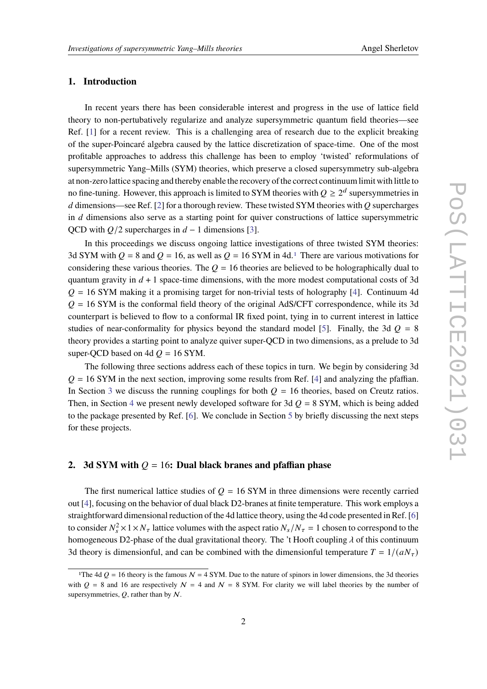#### **1. Introduction**

In recent years there has been considerable interest and progress in the use of lattice field theory to non-pertubatively regularize and analyze supersymmetric quantum field theories—see Ref. [\[1\]](#page-8-0) for a recent review. This is a challenging area of research due to the explicit breaking of the super-Poincaré algebra caused by the lattice discretization of space-time. One of the most profitable approaches to address this challenge has been to employ 'twisted' reformulations of supersymmetric Yang–Mills (SYM) theories, which preserve a closed supersymmetry sub-algebra at non-zero lattice spacing and thereby enable the recovery of the correct continuum limit with little to no fine-tuning. However, this approach is limited to SYM theories with  $Q \geq 2^d$  supersymmetries in d dimensions—see Ref. [\[2\]](#page-8-1) for a thorough review. These twisted SYM theories with  $\overline{O}$  supercharges in  $d$  dimensions also serve as a starting point for quiver constructions of lattice supersymmetric QCD with  $Q/2$  supercharges in  $d - 1$  dimensions [\[3\]](#page-8-2).

In this proceedings we discuss ongoing lattice investigations of three twisted SYM theories: 3d SYM with  $Q = 8$  and  $Q = 16$  $Q = 16$  $Q = 16$ , as well as  $Q = 16$  SYM in 4d.<sup>1</sup> There are various motivations for considering these various theories. The  $Q = 16$  theories are believed to be holographically dual to quantum gravity in  $d + 1$  space-time dimensions, with the more modest computational costs of 3d  $Q = 16$  SYM making it a promising target for non-trivial tests of holography [\[4\]](#page-8-3). Continuum 4d  $Q = 16$  SYM is the conformal field theory of the original AdS/CFT correspondence, while its 3d counterpart is believed to flow to a conformal IR fixed point, tying in to current interest in lattice studies of near-conformality for physics beyond the standard model [\[5\]](#page-8-4). Finally, the 3d  $Q = 8$ theory provides a starting point to analyze quiver super-QCD in two dimensions, as a prelude to 3d super-OCD based on 4d  $Q = 16$  SYM.

The following three sections address each of these topics in turn. We begin by considering 3d  $Q = 16$  SYM in the next section, improving some results from Ref. [\[4\]](#page-8-3) and analyzing the pfaffian. In Section [3](#page-4-0) we discuss the running couplings for both  $Q = 16$  theories, based on Creutz ratios. Then, in Section [4](#page-6-0) we present newly developed software for 3d  $Q = 8$  SYM, which is being added to the package presented by Ref. [\[6\]](#page-8-5). We conclude in Section [5](#page-7-0) by briefly discussing the next steps for these projects.

#### <span id="page-1-1"></span>**2.** 3d SYM with  $Q = 16$ : Dual black branes and pfaffian phase

The first numerical lattice studies of  $Q = 16$  SYM in three dimensions were recently carried out [\[4\]](#page-8-3), focusing on the behavior of dual black D2-branes at finite temperature. This work employs a straightforward dimensional reduction of the 4d lattice theory, using the 4d code presented in Ref. [\[6\]](#page-8-5) to consider  $N_s^2 \times 1 \times N_\tau$  lattice volumes with the aspect ratio  $N_s/N_\tau = 1$  chosen to correspond to the homogeneous D2-phase of the dual gravitational theory. The 't Hooft coupling  $\lambda$  of this continuum 3d theory is dimensionful, and can be combined with the dimensionful temperature  $T = 1/(aN_{\tau})$ 

<span id="page-1-0"></span><sup>&</sup>lt;sup>1</sup>The 4d  $Q = 16$  theory is the famous  $N = 4$  SYM. Due to the nature of spinors in lower dimensions, the 3d theories with  $Q = 8$  and 16 are respectively  $N = 4$  and  $N = 8$  SYM. For clarity we will label theories by the number of supersymmetries,  $Q$ , rather than by  $N$ .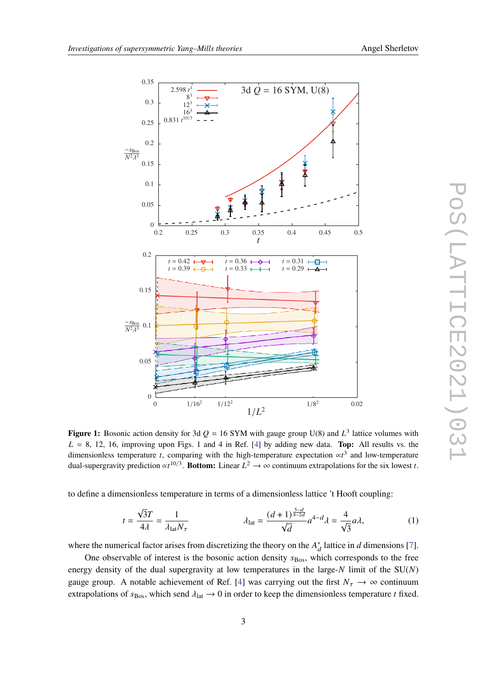<span id="page-2-0"></span>

**Figure 1:** Bosonic action density for 3d  $Q = 16$  SYM with gauge group U(8) and  $L^3$  lattice volumes with  $L = 8$ , 12, 16, improving upon Figs. 1 and 4 in Ref. [\[4\]](#page-8-3) by adding new data. **Top:** All results vs. the dimensionless temperature t, comparing with the high-temperature expectation  $\alpha t^3$  and low-temperature dual-supergravity prediction  $\propto t^{10/3}$ . Bottom: Linear  $L^2 \to \infty$  continuum extrapolations for the six lowest *t*.

to define a dimensionless temperature in terms of a dimensionless lattice 't Hooft coupling:

$$
t = \frac{\sqrt{3}T}{4\lambda} = \frac{1}{\lambda_{\text{lat}} N_{\tau}} \qquad \lambda_{\text{lat}} = \frac{(d+1)^{\frac{5-d}{8-2d}}}{\sqrt{d}} a^{4-d} \lambda = \frac{4}{\sqrt{3}} a\lambda,
$$
 (1)

where the numerical factor arises from discretizing the theory on the  $A_d^*$  lattice in d dimensions [\[7\]](#page-8-6).

One observable of interest is the bosonic action density  $s_{\text{Bos}}$ , which corresponds to the free energy density of the dual supergravity at low temperatures in the large- $N$  limit of the  $SU(N)$ gauge group. A notable achievement of Ref. [\[4\]](#page-8-3) was carrying out the first  $N_{\tau} \to \infty$  continuum extrapolations of  $s_{\text{Bos}}$ , which send  $\lambda_{\text{lat}} \rightarrow 0$  in order to keep the dimensionless temperature t fixed.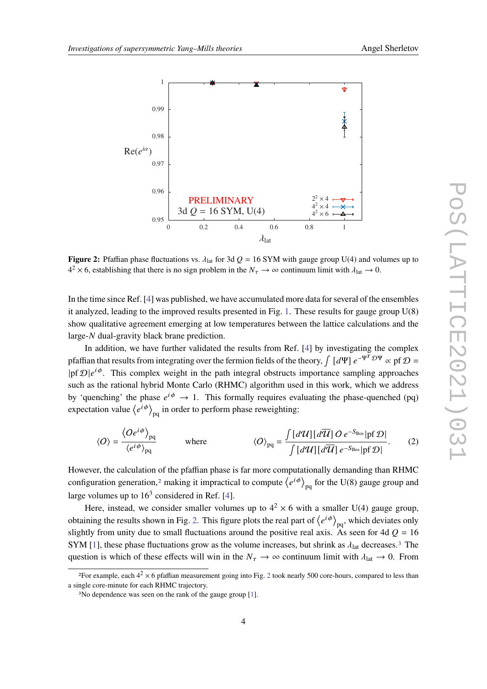<span id="page-3-1"></span>

**Figure 2:** Pfaffian phase fluctuations vs.  $\lambda_{lat}$  for 3d  $Q = 16$  SYM with gauge group U(4) and volumes up to  $4^2 \times 6$ , establishing that there is no sign problem in the  $N_{\tau} \to \infty$  continuum limit with  $\lambda_{\text{lat}} \to 0$ .

In the time since Ref. [\[4\]](#page-8-3) was published, we have accumulated more data for several of the ensembles it analyzed, leading to the improved results presented in Fig. [1.](#page-2-0) These results for gauge group U(8) show qualitative agreement emerging at low temperatures between the lattice calculations and the large- $N$  dual-gravity black brane prediction.

In addition, we have further validated the results from Ref. [\[4\]](#page-8-3) by investigating the complex pfaffian that results from integrating over the fermion fields of the theory,  $\int [d\Psi] e^{-\Psi^T \mathcal{D}\Psi} \propto p f \mathcal{D} =$  $|p f \mathcal{D} | e^{i \phi}$ . This complex weight in the path integral obstructs importance sampling approaches such as the rational hybrid Monte Carlo (RHMC) algorithm used in this work, which we address by 'quenching' the phase  $e^{i\phi} \rightarrow 1$ . This formally requires evaluating the phase-quenched (pq) expectation value  $\langle e^{i\phi} \rangle_{\text{pq}}$  in order to perform phase reweighting:

$$
\langle O \rangle = \frac{\langle O e^{i\phi} \rangle_{pq}}{\langle e^{i\phi} \rangle_{pq}} \qquad \text{where} \qquad \langle O \rangle_{pq} = \frac{\int [d\mathcal{U}] [d\overline{\mathcal{U}}] O e^{-S_{\text{Bos}}} |p f \mathcal{D}|}{\int [d\mathcal{U}] [d\overline{\mathcal{U}}] e^{-S_{\text{Bos}}} |p f \mathcal{D}|}. \qquad (2)
$$

However, the calculation of the pfaffian phase is far more computationally demanding than RHMC configuration generation,<sup>[2](#page-3-0)</sup> making it impractical to compute  $\langle e^{i\phi} \rangle_{\text{no}}$  for the U(8) gauge group and large volumes up to  $16<sup>3</sup>$  considered in Ref. [\[4\]](#page-8-3).

Here, instead, we consider smaller volumes up to  $4^2 \times 6$  with a smaller U(4) gauge group, obtaining the results shown in Fig. [2.](#page-3-1) This figure plots the real part of  $\langle e^{i\phi} \rangle_{\text{no}}$ , which deviates only slightly from unity due to small fluctuations around the positive real axis. As seen for 4d  $Q = 16$ SYM [\[1\]](#page-8-0), these phase fluctuations grow as the volume increases, but shrink as  $\lambda_{lat}$  decreases.<sup>[3](#page-3-2)</sup> The question is which of these effects will win in the  $N_{\tau} \to \infty$  continuum limit with  $\lambda_{\text{lat}} \to 0$ . From

<span id="page-3-0"></span><sup>&</sup>lt;sup>[2](#page-3-1)</sup>For example, each  $4^2 \times 6$  pfaffian measurement going into Fig. 2 took nearly 500 core-hours, compared to less than a single core-minute for each RHMC trajectory.

<span id="page-3-2"></span><sup>3</sup>No dependence was seen on the rank of the gauge group [\[1\]](#page-8-0).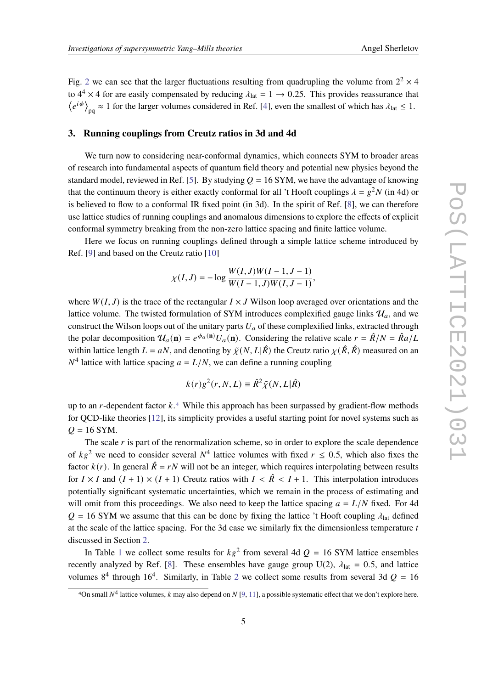Fig. [2](#page-3-1) we can see that the larger fluctuations resulting from quadrupling the volume from  $2^2 \times 4$ to  $4^4 \times 4$  for are easily compensated by reducing  $\lambda_{lat} = 1 \rightarrow 0.25$ . This provides reassurance that  $\langle e^{i\phi} \rangle_{\text{pq}} \approx 1$  for the larger volumes considered in Ref. [\[4\]](#page-8-3), even the smallest of which has  $\lambda_{\text{lat}} \leq 1$ .

#### <span id="page-4-0"></span>**3. Running couplings from Creutz ratios in 3d and 4d**

We turn now to considering near-conformal dynamics, which connects SYM to broader areas of research into fundamental aspects of quantum field theory and potential new physics beyond the standard model, reviewed in Ref. [\[5\]](#page-8-4). By studying  $Q = 16$  SYM, we have the advantage of knowing that the continuum theory is either exactly conformal for all 't Hooft couplings  $\lambda = g^2 N$  (in 4d) or is believed to flow to a conformal IR fixed point (in 3d). In the spirit of Ref. [\[8\]](#page-8-7), we can therefore use lattice studies of running couplings and anomalous dimensions to explore the effects of explicit conformal symmetry breaking from the non-zero lattice spacing and finite lattice volume.

Here we focus on running couplings defined through a simple lattice scheme introduced by Ref. [\[9\]](#page-8-8) and based on the Creutz ratio [\[10\]](#page-8-9)

$$
\chi(I, J) = -\log \frac{W(I, J)W(I - 1, J - 1)}{W(I - 1, J)W(I, J - 1)},
$$

where  $W(I, J)$  is the trace of the rectangular  $I \times J$  Wilson loop averaged over orientations and the lattice volume. The twisted formulation of SYM introduces complexified gauge links  $\mathcal{U}_a$ , and we construct the Wilson loops out of the unitary parts  $U_a$  of these complexified links, extracted through the polar decomposition  $\mathcal{U}_a(\mathbf{n}) = e^{\phi_a(\mathbf{n})} U_a(\mathbf{n})$ . Considering the relative scale  $r = \hat{R}/N = \hat{R}a/L$ within lattice length  $L = aN$ , and denoting by  $\tilde{\chi}(N, L|\hat{R})$  the Creutz ratio  $\chi(\hat{R}, \hat{R})$  measured on an  $N<sup>4</sup>$  lattice with lattice spacing  $a = L/N$ , we can define a running coupling

$$
k(r)g^{2}(r, N, L) \equiv \hat{R}^{2} \tilde{\chi}(N, L | \hat{R})
$$

up to an  $r$ -dependent factor  $k$ .<sup>[4](#page-4-1)</sup> While this approach has been surpassed by gradient-flow methods for QCD-like theories [\[12\]](#page-8-10), its simplicity provides a useful starting point for novel systems such as  $Q = 16$  SYM.

The scale  $r$  is part of the renormalization scheme, so in order to explore the scale dependence of  $kg^2$  we need to consider several  $N^4$  lattice volumes with fixed  $r \le 0.5$ , which also fixes the factor  $k(r)$ . In general  $\hat{R} = rN$  will not be an integer, which requires interpolating between results for  $I \times I$  and  $(I + 1) \times (I + 1)$  Creutz ratios with  $I \times \hat{R} \times I + 1$ . This interpolation introduces potentially significant systematic uncertainties, which we remain in the process of estimating and will omit from this proceedings. We also need to keep the lattice spacing  $a = L/N$  fixed. For 4d  $Q = 16$  SYM we assume that this can be done by fixing the lattice 't Hooft coupling  $\lambda_{lat}$  defined at the scale of the lattice spacing. For the 3d case we similarly fix the dimensionless temperature  $t$ discussed in Section [2.](#page-1-1)

In Table [1](#page-5-0) we collect some results for  $kg^2$  from several 4d  $Q = 16$  SYM lattice ensembles recently analyzed by Ref. [\[8\]](#page-8-7). These ensembles have gauge group U(2),  $\lambda_{\text{lat}} = 0.5$ , and lattice volumes  $8^4$  through 16<sup>4</sup>. Similarly, in Table [2](#page-5-1) we collect some results from several 3d  $Q = 16$ 

<span id="page-4-1"></span><sup>4</sup>On small  $N^4$  lattice volumes, k may also depend on N [\[9,](#page-8-8) [11\]](#page-8-11), a possible systematic effect that we don't explore here.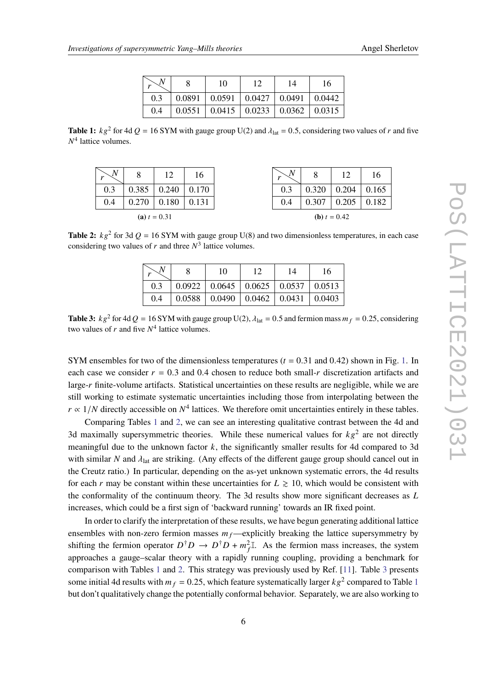|  | Angel Sherletov |
|--|-----------------|
|--|-----------------|

| $\sim N$ | 10 |                                                                            | 14 | 16 |
|----------|----|----------------------------------------------------------------------------|----|----|
| $0.3 -$  |    | $\vert$ 0.0891 $\vert$ 0.0591 $\vert$ 0.0427 $\vert$ 0.0491 $\vert$ 0.0442 |    |    |
|          |    | $0.4$   $0.0551$   $0.0415$   $0.0233$   $0.0362$   $0.0315$               |    |    |

<span id="page-5-1"></span><span id="page-5-0"></span>**Table 1:**  $kg^2$  for 4d  $Q = 16$  SYM with gauge group U(2) and  $\lambda_{lat} = 0.5$ , considering two values of r and five  $N<sup>4</sup>$  lattice volumes.

| N<br>$\mathbf{r}$ | 8     | 12    | 16    |  | N<br>r                | Ô     | 12    |       |
|-------------------|-------|-------|-------|--|-----------------------|-------|-------|-------|
| 0.3               | 0.385 | 0.240 | 0.170 |  | 0.3                   | 0.320 | 0.204 | 0.165 |
| 0.4               | 270   | 0.180 | 0.131 |  | 0.4                   | 0.307 | 0.205 | 0.182 |
| (a) $t = 0.31$    |       |       |       |  | <b>(b)</b> $t = 0.42$ |       |       |       |

<span id="page-5-2"></span>**Table 2:**  $kg^2$  for 3d  $Q = 16$  SYM with gauge group U(8) and two dimensionless temperatures, in each case considering two values of r and three  $N^3$  lattice volumes.

|     | 10                                                   | 14 | 16 |
|-----|------------------------------------------------------|----|----|
| 0.3 | $0.0922$   $0.0645$   $0.0625$   $0.0537$   $0.0513$ |    |    |
| 0.4 | $0.0588$   0.0490   0.0462   0.0431   0.0403         |    |    |

**Table 3:**  $kg^2$  for 4d  $Q = 16$  SYM with gauge group U(2),  $\lambda_{lat} = 0.5$  and fermion mass  $m_f = 0.25$ , considering two values of r and five  $N^4$  lattice volumes.

SYM ensembles for two of the dimensionless temperatures ( $t = 0.31$  and 0.42) shown in Fig. [1.](#page-2-0) In each case we consider  $r = 0.3$  and 0.4 chosen to reduce both small-r discretization artifacts and large-r finite-volume artifacts. Statistical uncertainties on these results are negligible, while we are still working to estimate systematic uncertainties including those from interpolating between the  $r \propto 1/N$  directly accessible on  $N^4$  lattices. We therefore omit uncertainties entirely in these tables.

Comparing Tables [1](#page-5-0) and [2,](#page-5-1) we can see an interesting qualitative contrast between the 4d and 3d maximally supersymmetric theories. While these numerical values for  $k\varrho^2$  are not directly meaningful due to the unknown factor  $k$ , the significantly smaller results for 4d compared to 3d with similar  $N$  and  $\lambda_{lat}$  are striking. (Any effects of the different gauge group should cancel out in the Creutz ratio.) In particular, depending on the as-yet unknown systematic errors, the 4d results for each r may be constant within these uncertainties for  $L \ge 10$ , which would be consistent with the conformality of the continuum theory. The 3d results show more significant decreases as  $L$ increases, which could be a first sign of 'backward running' towards an IR fixed point.

In order to clarify the interpretation of these results, we have begun generating additional lattice ensembles with non-zero fermion masses  $m_f$ —explicitly breaking the lattice supersymmetry by shifting the fermion operator  $D^{\dagger}D \to D^{\dagger}D + m_f^2 I$ . As the fermion mass increases, the system approaches a gauge–scalar theory with a rapidly running coupling, providing a benchmark for comparison with Tables [1](#page-5-0) and [2.](#page-5-1) This strategy was previously used by Ref. [\[11\]](#page-8-11). Table [3](#page-5-2) presents some initial 4d results with  $m_f = 0.25$ , which feature systematically larger  $kg^2$  compared to Table [1](#page-5-0) but don't qualitatively change the potentially conformal behavior. Separately, we are also working to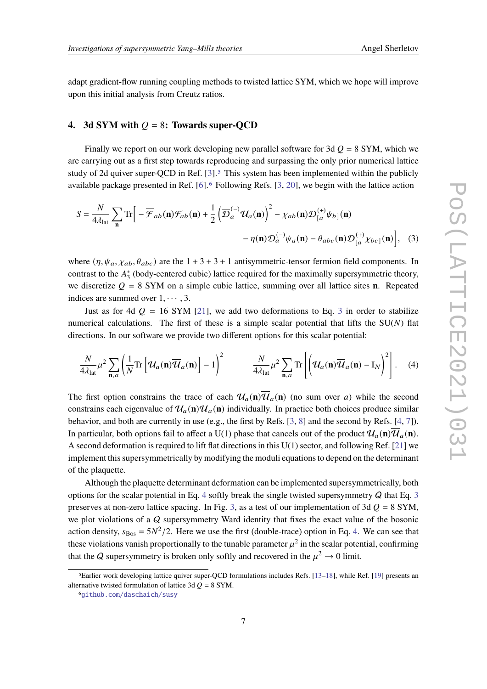adapt gradient-flow running coupling methods to twisted lattice SYM, which we hope will improve upon this initial analysis from Creutz ratios.

#### <span id="page-6-0"></span>**4.** 3d SYM with  $Q = 8$ : Towards super-QCD

Finally we report on our work developing new parallel software for 3d  $Q = 8$  SYM, which we are carrying out as a first step towards reproducing and surpassing the only prior numerical lattice study of 2d quiver super-QCD in Ref.  $[3]$ .<sup>[5](#page-6-1)</sup> This system has been implemented within the publicly available package presented in Ref. [\[6\]](#page-8-5).[6](#page-6-2) Following Refs. [\[3,](#page-8-2) [20\]](#page-8-12), we begin with the lattice action

<span id="page-6-3"></span>
$$
S = \frac{N}{4\lambda_{lat}} \sum_{\mathbf{n}} \text{Tr} \Big[ -\overline{\mathcal{F}}_{ab}(\mathbf{n}) \mathcal{F}_{ab}(\mathbf{n}) + \frac{1}{2} \Big( \overline{\mathcal{D}}_a^{(-)} \mathcal{U}_a(\mathbf{n}) \Big)^2 - \chi_{ab}(\mathbf{n}) \mathcal{D}_{[a}^{(+)} \psi_{b]}(\mathbf{n}) - \eta(\mathbf{n}) \mathcal{D}_{a}^{(-)} \psi_a(\mathbf{n}) - \theta_{abc}(\mathbf{n}) \mathcal{D}_{[a}^{(+)} \chi_{bc]}(\mathbf{n}) \Big], \quad (3)
$$

where  $(\eta, \psi_a, \chi_{ab}, \theta_{abc})$  are the  $1 + 3 + 3 + 1$  antisymmetric-tensor fermion field components. In contrast to the  $A_3^*$  (body-centered cubic) lattice required for the maximally supersymmetric theory, we discretize  $Q = 8$  SYM on a simple cubic lattice, summing over all lattice sites **n**. Repeated indices are summed over  $1, \cdots, 3$ .

Just as for 4d  $Q = 16$  SYM [\[21\]](#page-8-13), we add two deformations to Eq. [3](#page-6-3) in order to stabilize numerical calculations. The first of these is a simple scalar potential that lifts the  $SU(N)$  flat directions. In our software we provide two different options for this scalar potential:

<span id="page-6-4"></span>
$$
\frac{N}{4\lambda_{\text{lat}}} \mu^2 \sum_{\mathbf{n},a} \left( \frac{1}{N} \text{Tr} \left[ \mathcal{U}_a(\mathbf{n}) \overline{\mathcal{U}}_a(\mathbf{n}) \right] - 1 \right)^2 \qquad \frac{N}{4\lambda_{\text{lat}}} \mu^2 \sum_{\mathbf{n},a} \text{Tr} \left[ \left( \mathcal{U}_a(\mathbf{n}) \overline{\mathcal{U}}_a(\mathbf{n}) - \mathbb{I}_N \right)^2 \right]. \tag{4}
$$

The first option constrains the trace of each  $\mathcal{U}_a(\mathbf{n})\overline{\mathcal{U}}_a(\mathbf{n})$  (no sum over a) while the second constrains each eigenvalue of  $\mathcal{U}_a(\mathbf{n})\overline{\mathcal{U}}_a(\mathbf{n})$  individually. In practice both choices produce similar behavior, and both are currently in use (e.g., the first by Refs. [\[3,](#page-8-2) [8\]](#page-8-7) and the second by Refs. [\[4,](#page-8-3) [7\]](#page-8-6)). In particular, both options fail to affect a U(1) phase that cancels out of the product  $\mathcal{U}_a(\mathbf{n})\overline{\mathcal{U}}_a(\mathbf{n})$ . A second deformation is required to lift flat directions in this U(1) sector, and following Ref. [\[21\]](#page-8-13) we implement this supersymmetrically by modifying the moduli equations to depend on the determinant of the plaquette.

Although the plaquette determinant deformation can be implemented supersymmetrically, both options for the scalar potential in Eq. [4](#page-6-4) softly break the single twisted supersymmetry  $Q$  that Eq. [3](#page-6-3) preserves at non-zero lattice spacing. In Fig. [3,](#page-7-1) as a test of our implementation of 3d  $Q = 8$  SYM, we plot violations of a Q supersymmetry Ward identity that fixes the exact value of the bosonic action density,  $s_{\text{Bos}} = 5N^2/2$ . Here we use the first (double-trace) option in Eq. [4.](#page-6-4) We can see that these violations vanish proportionally to the tunable parameter  $u^2$  in the scalar potential, confirming that the Q supersymmetry is broken only softly and recovered in the  $\mu^2 \to 0$  limit.

<span id="page-6-1"></span><sup>5</sup>Earlier work developing lattice quiver super-QCD formulations includes Refs. [\[13–](#page-8-14)[18\]](#page-8-15), while Ref. [\[19\]](#page-8-16) presents an alternative twisted formulation of lattice 3d  $Q = 8$  SYM.

<span id="page-6-2"></span><sup>6</sup>[github.com/daschaich/susy](https://github.com/daschaich/susy)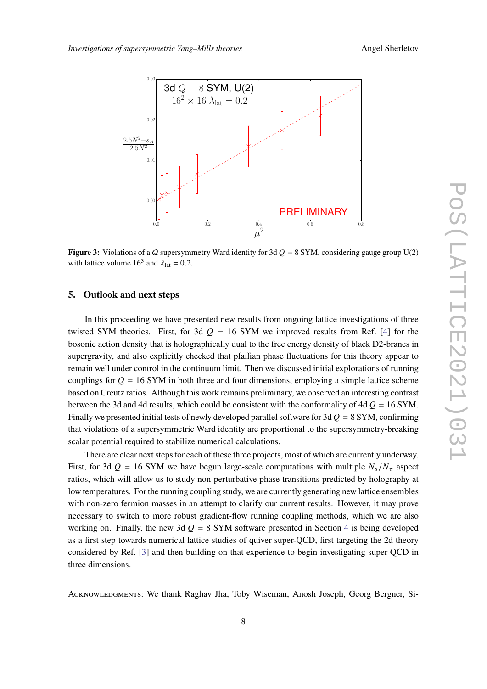<span id="page-7-1"></span>

**Figure 3:** Violations of a Q supersymmetry Ward identity for 3d  $Q = 8$  SYM, considering gauge group U(2) with lattice volume  $16^3$  and  $\lambda_{\text{lat}} = 0.2$ .

### <span id="page-7-0"></span>**5. Outlook and next steps**

In this proceeding we have presented new results from ongoing lattice investigations of three twisted SYM theories. First, for 3d  $Q = 16$  SYM we improved results from Ref. [\[4\]](#page-8-3) for the bosonic action density that is holographically dual to the free energy density of black D2-branes in supergravity, and also explicitly checked that pfaffian phase fluctuations for this theory appear to remain well under control in the continuum limit. Then we discussed initial explorations of running couplings for  $Q = 16$  SYM in both three and four dimensions, employing a simple lattice scheme based on Creutz ratios. Although this work remains preliminary, we observed an interesting contrast between the 3d and 4d results, which could be consistent with the conformality of 4d  $Q = 16$  SYM. Finally we presented initial tests of newly developed parallel software for 3d  $Q = 8$  SYM, confirming that violations of a supersymmetric Ward identity are proportional to the supersymmetry-breaking scalar potential required to stabilize numerical calculations.

There are clear next steps for each of these three projects, most of which are currently underway. First, for 3d  $Q = 16$  SYM we have begun large-scale computations with multiple  $N_s/N_\tau$  aspect ratios, which will allow us to study non-perturbative phase transitions predicted by holography at low temperatures. For the running coupling study, we are currently generating new lattice ensembles with non-zero fermion masses in an attempt to clarify our current results. However, it may prove necessary to switch to more robust gradient-flow running coupling methods, which we are also working on. Finally, the new 3d  $Q = 8$  SYM software presented in Section [4](#page-6-0) is being developed as a first step towards numerical lattice studies of quiver super-QCD, first targeting the 2d theory considered by Ref. [\[3\]](#page-8-2) and then building on that experience to begin investigating super-QCD in three dimensions.

Acknowledgments: We thank Raghav Jha, Toby Wiseman, Anosh Joseph, Georg Bergner, Si-